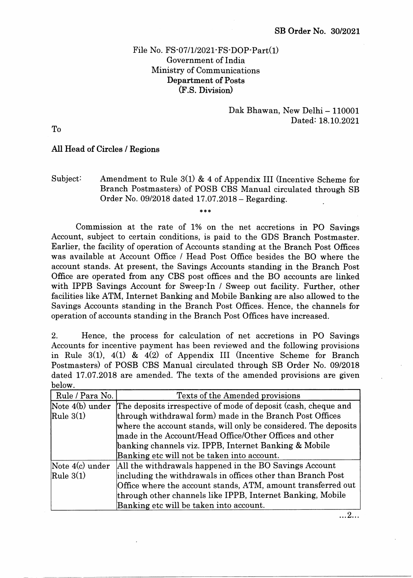## File No. FS.07/1/2021. FS.DOP. Part(1) Government of India Ministry of Communications Department of Posts (F.S. Division)

### Dak Bhawan, New Delhi - 110001 Dated: 18.10.2021

To

#### All Head of Circles / Regions

# Subject: Amendment to Rule 3(1) & 4 of Appendix III (Incentive Scheme for Branch Postmasters) of POSB CBS Manual circulated through SB Order No. 09/2018 dated 17.07.2018 - Regarding.

 $\ast \ast \ast$ 

Commission at the rate of 1% on the net accretions in PO Savings Account, subject to certain conditions, is paid to the GDS Branch Postmaster. Earlier, the facility of operation of Accounts standing at the Branch Post Offrces was available at Account Office / Head Post Office besides the BO where the account stands. At present, the Savings Accounts standing in the Branch Post Office are operated from any CBS post offices and the BO accounts are linked with IPPB Savings Account for Sweep-In / Sweep out facility. Further, other facilities like ATM, Internet Banking and Mobile Banking are also allowed to the Savings Accounts standing in the Branch Post Offices. Hence, the channels for operation of accounts standing in the Branch Post Offrces have increased.

2. Hence, the process for calculation of net accretions in PO Savings Accounts for incentive payment has been reviewed and the following provisions in Rule  $3(1)$ ,  $4(1)$  &  $4(2)$  of Appendix III (Incentive Scheme for Branch Postmasters) of POSB CBS Manual circulated through SB Order No. 09/2018 dated 17.07.2018 are amended. The texts of the amended provisions are given below.

| Rule / Para No. | Texts of the Amended provisions                                 |  |  |  |  |  |  |
|-----------------|-----------------------------------------------------------------|--|--|--|--|--|--|
| Note 4(b) under | The deposits irrespective of mode of deposit (cash, cheque and  |  |  |  |  |  |  |
| $\Re$ Rule 3(1) | through withdrawal form) made in the Branch Post Offices        |  |  |  |  |  |  |
|                 | where the account stands, will only be considered. The deposits |  |  |  |  |  |  |
|                 | made in the Account/Head Office/Other Offices and other         |  |  |  |  |  |  |
|                 | banking channels viz. IPPB, Internet Banking & Mobile           |  |  |  |  |  |  |
|                 | Banking etc will not be taken into account.                     |  |  |  |  |  |  |
| Note 4(c) under | All the withdrawals happened in the BO Savings Account          |  |  |  |  |  |  |
| $\Re$ Rule 3(1) | including the withdrawals in offices other than Branch Post     |  |  |  |  |  |  |
|                 | Office where the account stands, ATM, amount transferred out    |  |  |  |  |  |  |
|                 | through other channels like IPPB, Internet Banking, Mobile      |  |  |  |  |  |  |
|                 | Banking etc will be taken into account.                         |  |  |  |  |  |  |

 $\dots$  2...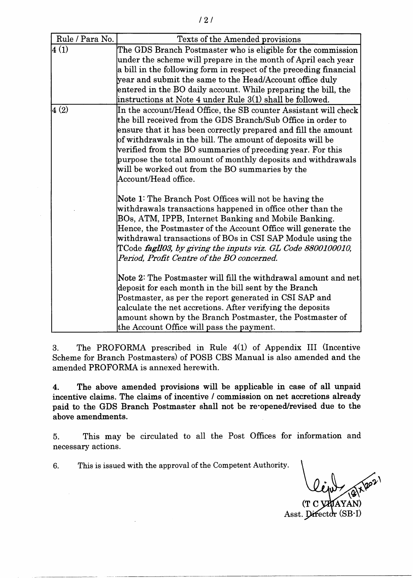| Rule / Para No. | Texts of the Amended provisions                                                                                                                                                                                                                                                                                                                                                                                                                                                |  |  |  |  |  |
|-----------------|--------------------------------------------------------------------------------------------------------------------------------------------------------------------------------------------------------------------------------------------------------------------------------------------------------------------------------------------------------------------------------------------------------------------------------------------------------------------------------|--|--|--|--|--|
| 4(1)            | The GDS Branch Postmaster who is eligible for the commission<br>under the scheme will prepare in the month of April each year<br>a bill in the following form in respect of the preceding financial<br>year and submit the same to the Head/Account office duly<br>entered in the BO daily account. While preparing the bill, the<br>instructions at Note 4 under Rule 3(1) shall be followed.                                                                                 |  |  |  |  |  |
| 4(2)            | In the account/Head Office, the SB counter Assistant will check<br>the bill received from the GDS Branch/Sub Office in order to<br>ensure that it has been correctly prepared and fill the amount<br>of withdrawals in the bill. The amount of deposits will be<br>verified from the BO summaries of preceding year. For this<br>purpose the total amount of monthly deposits and withdrawals<br>will be worked out from the BO summaries by the<br>$\rm Account/Head$ office. |  |  |  |  |  |
|                 | Note 1: The Branch Post Offices will not be having the<br>withdrawals transactions happened in office other than the<br>BOs, ATM, IPPB, Internet Banking and Mobile Banking.<br>Hence, the Postmaster of the Account Office will generate the<br>withdrawal transactions of BOs in CSI SAP Module using the<br>TCode fagll03, by giving the inputs viz. GL Code 8800100010,<br>Period, Profit Centre of the BO concerned.                                                      |  |  |  |  |  |
|                 | Note 2: The Postmaster will fill the withdrawal amount and net<br>deposit for each month in the bill sent by the Branch<br>Postmaster, as per the report generated in CSI SAP and<br>calculate the net accretions. After verifying the deposits<br>amount shown by the Branch Postmaster, the Postmaster of<br>the Account Office will pass the payment.                                                                                                                       |  |  |  |  |  |

3. The PROFORMA prescribed in Rule 4(1) of Appendix III (Incentive Scheme for Branch Postmasters) of POSB CBS Manual is also amended and the amended PROFORMA is annexed herewith.

4. The above amended provisions will be applicable in cage of all unpaid incentive claims. The claims of incentive / commission on net accretions already paid to the GDS Branch Postmaster shall not be re-opened/revised due to the above amendments.

5. This may be circulated to all the Post Offices for information and necessary actions.

6. This is issued with the approval of the Competent Authority.

\

(T C VAJAYAN) Asst. Director (SB-I)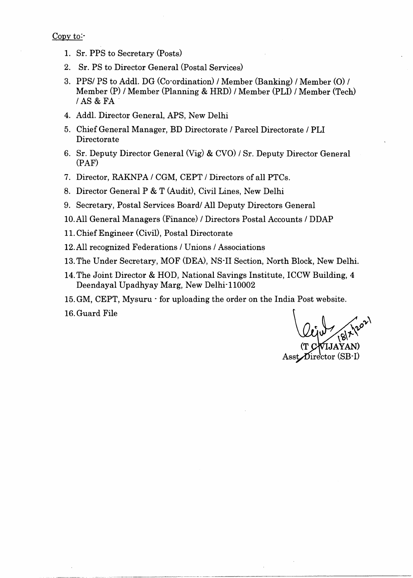Copy to:-

- 1. Sr. PPS to Secretary (Posts)
- 2. Sr. PS to Director General (Postal Services)
- 3. PPS/ PS to Addl. DG (Co'ordination) / Member (Banking) / Member (O) / Member (P) / Member (Planning & HRD) / Member (PLD / Member (Tech) /AS & FA
- 4. Addl. Director General, APS, New Delhi
- 5. Chief General Manager, BD Directorate / Parcel Directorate / PLI Directorate
- 6. Sr. Deputy Director General (Vig) & CVO) / Sr. Deputy Director General (PAF)
- 7. Director, RAKNPA / CGM, CEPT / Directors of all PTCs.
- 8. Director General P & T (Audit), Civil Lines, New Delhi
- 9. Secretary, Postal Services Board/ All Deputy Directors General
- 10.All General Managers (Finance) / Directors Postal Accounts / DDAP
- 11. Chief Engineer (Civil), Postal Directorate
- 12.All recogrized Federations / Unions / Associations
- 13.The Under Secretary, MOF (DEA, NS'II Section, North Block, New Delhi.
- 14.The Joint Director & HOD, National Savings Institute, ICCW Building, 4 Deendayal Upadhyay Marg, New Delhi<sup>-110002</sup>
- 15.GM, CEPT, Mysuru ' for uploading the order on the India Post website.

16.Guard File

C (t  $\text{A}$ sst $\text{Dir}$ ector (SB-I)